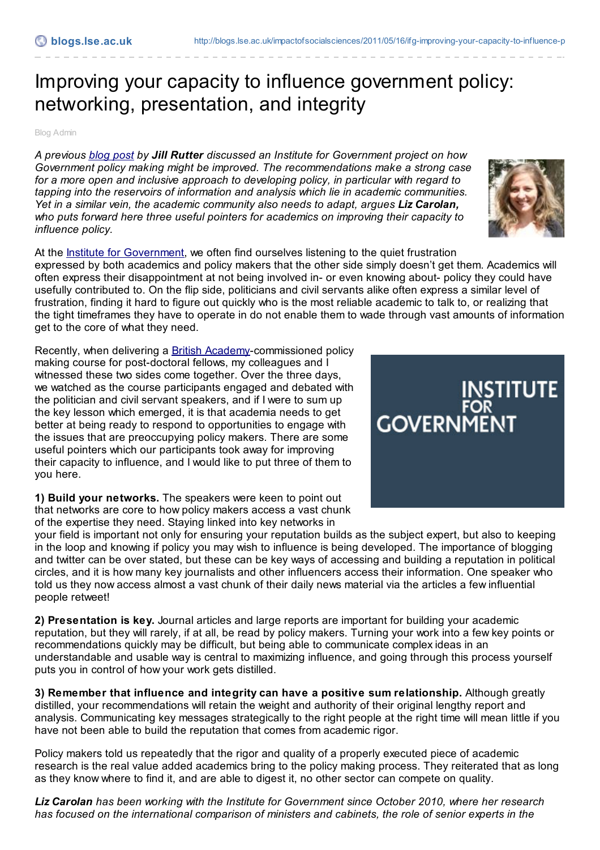## Improving your capacity to influence government policy: networking, presentation, and integrity

Blog Admin

*A previous [blog](http://blogs.lse.ac.uk/impactofsocialsciences/2011/05/12/ifg-academic-community-ready-to-respond/) post by Jill Rutter discussed an Institute for Government project on how Government policy making might be improved. The recommendations make a strong case for a more open and inclusive approach to developing policy, in particular with regard to tapping into the reservoirs of information and analysis which lie in academic communities. Yet in a similar vein, the academic community also needs to adapt, argues Liz Carolan, who puts forward here three useful pointers for academics on improving their capacity to influence policy.*

At the **Institute for [Government](http://www.instituteforgovernment.org.uk/blog/)**, we often find ourselves listening to the quiet frustration expressed by both academics and policy makers that the other side simply doesn't get them. Academics will often express their disappointment at not being involved in- or even knowing about- policy they could have usefully contributed to. On the flip side, politicians and civil servants alike often express a similar level of frustration, finding it hard to figure out quickly who is the most reliable academic to talk to, or realizing that the tight timeframes they have to operate in do not enable them to wade through vast amounts of information get to the core of what they need.

Recently, when delivering a British [Academy](http://www.britac.ac.uk/)-commissioned policy making course for post-doctoral fellows, my colleagues and I witnessed these two sides come together. Over the three days, we watched as the course participants engaged and debated with the politician and civil servant speakers, and if I were to sum up the key lesson which emerged, it is that academia needs to get better at being ready to respond to opportunities to engage with the issues that are preoccupying policy makers. There are some useful pointers which our participants took away for improving their capacity to influence, and I would like to put three of them to you here.

**1) Build your networks.** The speakers were keen to point out that networks are core to how policy makers access a vast chunk of the expertise they need. Staying linked into key networks in

your field is important not only for ensuring your reputation builds as the subject expert, but also to keeping in the loop and knowing if policy you may wish to influence is being developed. The importance of blogging and twitter can be over stated, but these can be key ways of accessing and building a reputation in political circles, and it is how many key journalists and other influencers access their information. One speaker who told us they now access almost a vast chunk of their daily news material via the articles a few influential people retweet!

**2) Presentation is key.** Journal articles and large reports are important for building your academic reputation, but they will rarely, if at all, be read by policy makers. Turning your work into a few key points or recommendations quickly may be difficult, but being able to communicate complex ideas in an understandable and usable way is central to maximizing influence, and going through this process yourself puts you in control of how your work gets distilled.

**3) Remember that influence and integrity can have a positive sum relationship.** Although greatly distilled, your recommendations will retain the weight and authority of their original lengthy report and analysis. Communicating key messages strategically to the right people at the right time will mean little if you have not been able to build the reputation that comes from academic rigor.

Policy makers told us repeatedly that the rigor and quality of a properly executed piece of academic research is the real value added academics bring to the policy making process. They reiterated that as long as they know where to find it, and are able to digest it, no other sector can compete on quality.

*Liz Carolan has been working with the Institute for Government since October 2010, where her research has focused on the international comparison of ministers and cabinets, the role of senior experts in the*